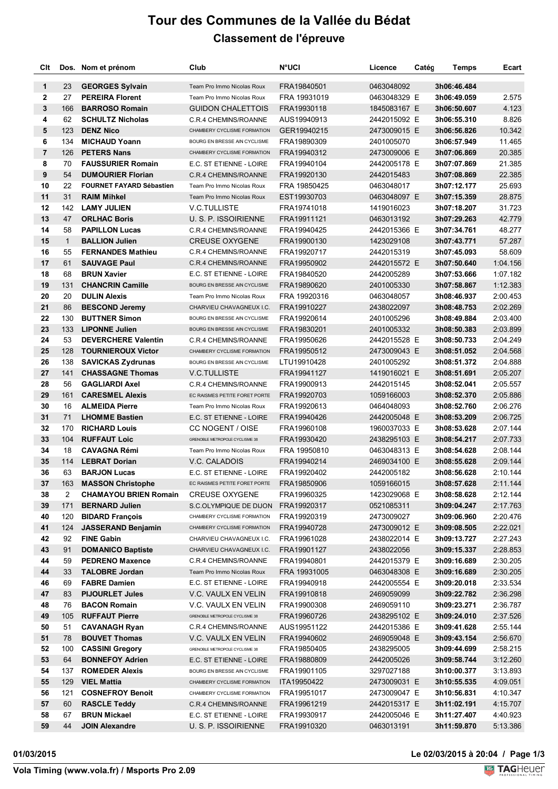## **Tour des Communes de la Vallée du Bédat Classement de l'épreuve**

| Clt                     |              | Dos. Nom et prénom              | Club                           | <b>N°UCI</b> | Licence      | Catég | <b>Temps</b> | Ecart    |
|-------------------------|--------------|---------------------------------|--------------------------------|--------------|--------------|-------|--------------|----------|
| $\mathbf{1}$            | 23           | <b>GEORGES Sylvain</b>          | Team Pro Immo Nicolas Roux     | FRA19840501  | 0463048092   |       | 3h06:46.484  |          |
| $\mathbf{2}$            | 27           | <b>PEREIRA Florent</b>          | Team Pro Immo Nicolas Roux     | FRA 19931019 | 0463048329 E |       | 3h06:49.059  | 2.575    |
| 3                       | 166          | <b>BARROSO Romain</b>           | <b>GUIDON CHALETTOIS</b>       | FRA19930118  | 1845083167 E |       | 3h06:50.607  | 4.123    |
| 4                       | 62           | <b>SCHULTZ Nicholas</b>         | C.R.4 CHEMINS/ROANNE           | AUS19940913  | 2442015092 E |       | 3h06:55.310  | 8.826    |
| 5                       | 123          | <b>DENZ Nico</b>                | CHAMBERY CYCLISME FORMATION    | GER19940215  | 2473009015 E |       | 3h06:56.826  | 10.342   |
| 6                       | 134          | <b>MICHAUD Yoann</b>            | BOURG EN BRESSE AIN CYCLISME   | FRA19890309  | 2401005070   |       | 3h06:57.949  | 11.465   |
| $\overline{\mathbf{r}}$ | 126          | <b>PETERS Nans</b>              | CHAMBERY CYCLISME FORMATION    | FRA19940312  | 2473009006 E |       | 3h07:06.869  | 20.385   |
| 8                       | 70           | <b>FAUSSURIER Romain</b>        | E.C. ST ETIENNE - LOIRE        | FRA19940104  | 2442005178 E |       | 3h07:07.869  | 21.385   |
| 9                       | 54           | <b>DUMOURIER Florian</b>        | C.R.4 CHEMINS/ROANNE           | FRA19920130  | 2442015483   |       | 3h07:08.869  | 22.385   |
| 10                      | 22           | <b>FOURNET FAYARD Sébastien</b> | Team Pro Immo Nicolas Roux     | FRA 19850425 | 0463048017   |       | 3h07:12.177  | 25.693   |
| 11                      | 31           | <b>RAIM Minkel</b>              | Team Pro Immo Nicolas Roux     | EST19930703  | 0463048097 E |       | 3h07:15.359  | 28.875   |
| 12                      | 142          | <b>LAMY JULIEN</b>              | <b>V.C.TULLISTE</b>            | FRA19741018  | 1419016023   |       | 3h07:18.207  | 31.723   |
| 13                      | 47           | <b>ORLHAC Boris</b>             | U. S. P. ISSOIRIENNE           | FRA19911121  | 0463013192   |       | 3h07:29.263  | 42.779   |
| 14                      | 58           | <b>PAPILLON Lucas</b>           | C.R.4 CHEMINS/ROANNE           | FRA19940425  | 2442015366 E |       | 3h07:34.761  | 48.277   |
| 15                      |              |                                 |                                |              |              |       |              |          |
| 16                      | $\mathbf{1}$ | <b>BALLION Julien</b>           | <b>CREUSE OXYGENE</b>          | FRA19900130  | 1423029108   |       | 3h07:43.771  | 57.287   |
|                         | 55           | <b>FERNANDES Mathieu</b>        | C.R.4 CHEMINS/ROANNE           | FRA19920717  | 2442015319   |       | 3h07:45.093  | 58.609   |
| 17                      | 61           | <b>SAUVAGE Paul</b>             | C.R.4 CHEMINS/ROANNE           | FRA19950902  | 2442015572 E |       | 3h07:50.640  | 1:04.156 |
| 18                      | 68           | <b>BRUN Xavier</b>              | E.C. ST ETIENNE - LOIRE        | FRA19840520  | 2442005289   |       | 3h07:53.666  | 1:07.182 |
| 19                      | 131          | <b>CHANCRIN Camille</b>         | BOURG EN BRESSE AIN CYCLISME   | FRA19890620  | 2401005330   |       | 3h07:58.867  | 1:12.383 |
| 20                      | 20           | <b>DULIN Alexis</b>             | Team Pro Immo Nicolas Roux     | FRA 19920316 | 0463048057   |       | 3h08:46.937  | 2:00.453 |
| 21                      | 86           | <b>BESCOND Jeremy</b>           | CHARVIEU CHAVAGNEUX I.C.       | FRA19910227  | 2438022097   |       | 3h08:48.753  | 2:02.269 |
| 22                      | 130          | <b>BUTTNER Simon</b>            | BOURG EN BRESSE AIN CYCLISME   | FRA19920614  | 2401005296   |       | 3h08:49.884  | 2:03.400 |
| 23                      | 133          | <b>LIPONNE Julien</b>           | BOURG EN BRESSE AIN CYCLISME   | FRA19830201  | 2401005332   |       | 3h08:50.383  | 2:03.899 |
| 24                      | 53           | <b>DEVERCHERE Valentin</b>      | C.R.4 CHEMINS/ROANNE           | FRA19950626  | 2442015528 E |       | 3h08:50.733  | 2:04.249 |
| 25                      | 128          | <b>TOURNIEROUX Victor</b>       | CHAMBERY CYCLISME FORMATION    | FRA19950512  | 2473009043 E |       | 3h08:51.052  | 2:04.568 |
| 26                      | 138          | <b>SAVICKAS Zydrunas</b>        | BOURG EN BRESSE AIN CYCLISME   | LTU19910428  | 2401005292   |       | 3h08:51.372  | 2:04.888 |
| 27                      | 141          | <b>CHASSAGNE Thomas</b>         | <b>V.C.TULLISTE</b>            | FRA19941127  | 1419016021 E |       | 3h08:51.691  | 2:05.207 |
| 28                      | 56           | <b>GAGLIARDI Axel</b>           | C.R.4 CHEMINS/ROANNE           | FRA19900913  | 2442015145   |       | 3h08:52.041  | 2:05.557 |
| 29                      | 161          | <b>CARESMEL Alexis</b>          | EC RAISMES PETITE FORET PORTE  | FRA19920703  | 1059166003   |       | 3h08:52.370  | 2:05.886 |
| 30                      | 16           | <b>ALMEIDA Pierre</b>           | Team Pro Immo Nicolas Roux     | FRA19920613  | 0464048093   |       | 3h08:52.760  | 2:06.276 |
| 31                      | 71           | <b>LHOMME Bastien</b>           | E.C. ST ETIENNE - LOIRE        | FRA19940426  | 2442005048 E |       | 3h08:53.209  | 2:06.725 |
| 32                      | 170          | <b>RICHARD Louis</b>            | CC NOGENT / OISE               | FRA19960108  | 1960037033 E |       | 3h08:53.628  | 2:07.144 |
| 33                      | 104          | <b>RUFFAUT Loic</b>             | GRENOBLE METROPOLE CYCLISME 38 | FRA19930420  | 2438295103 E |       | 3h08:54.217  | 2:07.733 |
| 34                      | 18           | <b>CAVAGNA Rémi</b>             | Team Pro Immo Nicolas Roux     | FRA 19950810 | 0463048313 E |       | 3h08:54.628  | 2:08.144 |
| 35                      | 114          | <b>LEBRAT Dorian</b>            | V.C. CALADOIS                  | FRA19940214  | 2469034100 E |       | 3h08:55.628  | 2:09.144 |
| 36                      | 63           | <b>BARJON Lucas</b>             | E.C. ST ETIENNE - LOIRE        | FRA19920402  | 2442005182   |       | 3h08:56.628  | 2:10.144 |
| 37                      | 163          | <b>MASSON Christophe</b>        | EC RAISMES PETITE FORET PORTE  | FRA19850906  | 1059166015   |       | 3h08:57.628  | 2:11.144 |
| 38                      | 2            | <b>CHAMAYOU BRIEN Romain</b>    | <b>CREUSE OXYGENE</b>          | FRA19960325  | 1423029068 E |       | 3h08:58.628  | 2:12.144 |
| 39                      | 171          | <b>BERNARD Julien</b>           | S.C.OLYMPIQUE DE DIJON         | FRA19920317  | 0521085311   |       | 3h09:04.247  | 2:17.763 |
| 40                      | 120          | <b>BIDARD François</b>          | CHAMBERY CYCLISME FORMATION    | FRA19920319  | 2473009027   |       | 3h09:06.960  | 2:20.476 |
| 41                      | 124          | <b>JASSERAND Benjamin</b>       | CHAMBERY CYCLISME FORMATION    | FRA19940728  | 2473009012 E |       | 3h09:08.505  | 2:22.021 |
| 42                      | 92           | <b>FINE Gabin</b>               | CHARVIEU CHAVAGNEUX I.C.       | FRA19961028  | 2438022014 E |       | 3h09:13.727  | 2:27.243 |
| 43                      | 91           | <b>DOMANICO Baptiste</b>        | CHARVIEU CHAVAGNEUX I.C.       | FRA19901127  | 2438022056   |       | 3h09:15.337  | 2:28.853 |
| 44                      | 59           | <b>PEDRENO Maxence</b>          | C.R.4 CHEMINS/ROANNE           | FRA19940801  | 2442015379 E |       | 3h09:16.689  | 2:30.205 |
| 44                      | 33           | <b>TALOBRE Jordan</b>           | Team Pro Immo Nicolas Roux     | FRA 19931005 | 0463048308 E |       | 3h09:16.689  | 2:30.205 |
| 46                      | 69           | <b>FABRE Damien</b>             | E.C. ST ETIENNE - LOIRE        | FRA19940918  | 2442005554 E |       | 3h09:20.018  | 2:33.534 |
| 47                      | 83           | <b>PIJOURLET Jules</b>          | V.C. VAULX EN VELIN            | FRA19910818  | 2469059099   |       | 3h09:22.782  | 2:36.298 |
| 48                      | 76           | <b>BACON Romain</b>             | V.C. VAULX EN VELIN            | FRA19900308  | 2469059110   |       | 3h09:23.271  | 2:36.787 |
| 49                      | 105          | <b>RUFFAUT Pierre</b>           | GRENOBLE METROPOLE CYCLISME 38 | FRA19960726  | 2438295102 E |       | 3h09:24.010  | 2:37.526 |
| 50                      | 51           | <b>CAVANAGH Ryan</b>            | C.R.4 CHEMINS/ROANNE           | AUS19951122  | 2442015386 E |       | 3h09:41.628  | 2:55.144 |
| 51                      | 78           | <b>BOUVET Thomas</b>            | V.C. VAULX EN VELIN            | FRA19940602  | 2469059048 E |       | 3h09:43.154  | 2:56.670 |
| 52                      | 100          | <b>CASSINI Gregory</b>          | GRENOBLE METROPOLE CYCLISME 38 | FRA19850405  | 2438295005   |       | 3h09:44.699  | 2:58.215 |
| 53                      | 64           | <b>BONNEFOY Adrien</b>          | E.C. ST ETIENNE - LOIRE        | FRA19880809  | 2442005026   |       | 3h09:58.744  | 3:12.260 |
| 54                      | 137          | <b>ROMEDER Alexis</b>           | BOURG EN BRESSE AIN CYCLISME   | FRA19901105  | 3297027188   |       | 3h10:00.377  | 3:13.893 |
| 55                      | 129          | <b>VIEL Mattia</b>              | CHAMBERY CYCLISME FORMATION    | ITA19950422  | 2473009031 E |       | 3h10:55.535  | 4:09.051 |
| 56                      | 121          | <b>COSNEFROY Benoit</b>         | CHAMBERY CYCLISME FORMATION    | FRA19951017  | 2473009047 E |       | 3h10:56.831  | 4:10.347 |
| 57                      | 60           | <b>RASCLE Teddy</b>             | C.R.4 CHEMINS/ROANNE           | FRA19961219  | 2442015317 E |       | 3h11:02.191  | 4:15.707 |
| 58                      | 67           | <b>BRUN Mickael</b>             | E.C. ST ETIENNE - LOIRE        | FRA19930917  | 2442005046 E |       | 3h11:27.407  | 4:40.923 |
| 59                      | 44           | <b>JOIN Alexandre</b>           | U. S. P. ISSOIRIENNE           | FRA19910320  | 0463013191   |       | 3h11:59.870  | 5:13.386 |

**01/03/2015 Le 02/03/2015 à 20:04 / Page 1/3**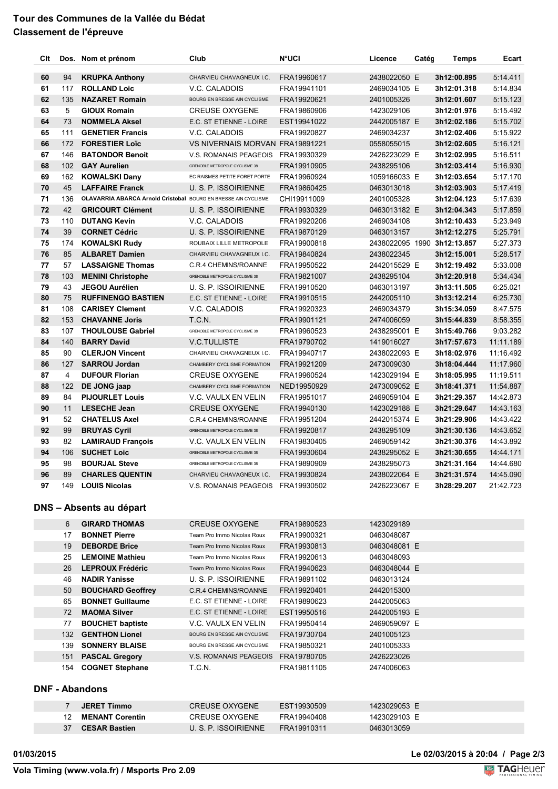## **Tour des Communes de la Vallée du Bédat Classement de l'épreuve**

| Clt                   |         | Dos. Nom et prénom                                                    | Club                                           | N°UCI                      | Licence                      | Catég | Temps                       | Ecart     |
|-----------------------|---------|-----------------------------------------------------------------------|------------------------------------------------|----------------------------|------------------------------|-------|-----------------------------|-----------|
| 60                    | 94      | <b>KRUPKA Anthony</b>                                                 | CHARVIEU CHAVAGNEUX I.C.                       | FRA19960617                | 2438022050 E                 |       | 3h12:00.895                 | 5:14.411  |
| 61                    | 117     | <b>ROLLAND Loic</b>                                                   | V.C. CALADOIS                                  | FRA19941101                | 2469034105 E                 |       | 3h12:01.318                 | 5:14.834  |
| 62                    | 135     | <b>NAZARET Romain</b>                                                 | BOURG EN BRESSE AIN CYCLISME                   | FRA19920621                | 2401005326                   |       | 3h12:01.607                 | 5:15.123  |
| 63                    | 5       | <b>GIOUX Romain</b>                                                   | <b>CREUSE OXYGENE</b>                          | FRA19860906                | 1423029106                   |       | 3h12:01.976                 | 5:15.492  |
| 64                    | 73      | <b>NOMMELA Aksel</b>                                                  | E.C. ST ETIENNE - LOIRE                        | EST19941022                | 2442005187 E                 |       | 3h12:02.186                 | 5:15.702  |
| 65                    | 111     | <b>GENETIER Francis</b>                                               | V.C. CALADOIS                                  | FRA19920827                | 2469034237                   |       | 3h12:02.406                 | 5:15.922  |
| 66                    | 172     | <b>FORESTIER Loïc</b>                                                 | VS NIVERNAIS MORVAN FRA19891221                |                            | 0558055015                   |       | 3h12:02.605                 | 5:16.121  |
| 67                    | 146     | <b>BATONDOR Benoit</b>                                                | V.S. ROMANAIS PEAGEOIS                         | FRA19930329                | 2426223029 E                 |       | 3h12:02.995                 | 5:16.511  |
| 68                    | 102     | <b>GAY Aurelien</b>                                                   | GRENOBLE METROPOLE CYCLISME 38                 | FRA19910905                | 2438295106                   |       | 3h12:03.414                 | 5:16.930  |
| 69                    | 162     | <b>KOWALSKI Dany</b>                                                  | EC RAISMES PETITE FORET PORTE                  | FRA19960924                | 1059166033 E                 |       | 3h12:03.654                 | 5:17.170  |
| 70                    | 45      | <b>LAFFAIRE Franck</b>                                                | U. S. P. ISSOIRIENNE                           | FRA19860425                | 0463013018                   |       | 3h12:03.903                 | 5:17.419  |
| 71                    | 136     | <b>OLAVARRIA ABARCA Arnold Cristobal BOURG EN BRESSE AIN CYCLISME</b> |                                                | CHI19911009                | 2401005328                   |       | 3h12:04.123                 | 5:17.639  |
| 72                    | 42      | <b>GRICOURT Clément</b>                                               | U. S. P. ISSOIRIENNE                           | FRA19930329                | 0463013182 E                 |       | 3h12:04.343                 | 5:17.859  |
| 73                    | 110     | <b>DUTANG Kevin</b>                                                   | V.C. CALADOIS                                  | FRA19920206                | 2469034108                   |       | 3h12:10.433                 | 5:23.949  |
| 74                    | 39      | <b>CORNET Cédric</b>                                                  | U. S. P. ISSOIRIENNE                           | FRA19870129                | 0463013157                   |       | 3h12:12.275                 | 5:25.791  |
| 75                    | 174     | <b>KOWALSKI Rudy</b>                                                  | ROUBAIX LILLE METROPOLE                        | FRA19900818                |                              |       | 2438022095 1990 3h12:13.857 | 5:27.373  |
| 76                    | 85      | <b>ALBARET Damien</b>                                                 | CHARVIEU CHAVAGNEUX I.C.                       | FRA19840824                | 2438022345                   |       | 3h12:15.001                 | 5:28.517  |
| 77                    | 57      | <b>LASSAIGNE Thomas</b>                                               | C.R.4 CHEMINS/ROANNE                           | FRA19950522                | 2442015529 E                 |       | 3h12:19.492                 | 5:33.008  |
| 78                    | 103     | <b>MENINI Christophe</b>                                              | GRENOBLE METROPOLE CYCLISME 38                 | FRA19821007                | 2438295104                   |       | 3h12:20.918                 | 5:34.434  |
| 79                    | 43      | <b>JEGOU Aurélien</b>                                                 | U. S. P. ISSOIRIENNE                           | FRA19910520                | 0463013197                   |       | 3h13:11.505                 | 6:25.021  |
| 80                    | 75      | <b>RUFFINENGO BASTIEN</b>                                             | E.C. ST ETIENNE - LOIRE                        | FRA19910515                | 2442005110                   |       | 3h13:12.214                 | 6:25.730  |
| 81                    | 108     | <b>CARISEY Clement</b>                                                | V.C. CALADOIS                                  | FRA19920323                | 2469034379                   |       | 3h15:34.059                 | 8:47.575  |
| 82                    | 153     | <b>CHAVANNE Joris</b>                                                 | T.C.N.                                         | FRA19901121                | 2474006059                   |       | 3h15:44.839                 | 8:58.355  |
| 83                    | 107     | <b>THOULOUSE Gabriel</b>                                              | GRENOBLE METROPOLE CYCLISME 38                 | FRA19960523                | 2438295001 E                 |       | 3h15:49.766                 | 9:03.282  |
| 84                    | 140     | <b>BARRY David</b>                                                    | <b>V.C.TULLISTE</b>                            | FRA19790702                | 1419016027                   |       | 3h17:57.673                 | 11:11.189 |
| 85                    | 90      | <b>CLERJON Vincent</b>                                                | CHARVIEU CHAVAGNEUX I.C.                       | FRA19940717                | 2438022093 E                 |       | 3h18:02.976                 | 11:16.492 |
| 86                    | 127     | <b>SARROU Jordan</b>                                                  | CHAMBERY CYCLISME FORMATION                    | FRA19921209                | 2473009030                   |       | 3h18:04.444                 | 11:17.960 |
| 87                    | 4       | <b>DUFOUR Florian</b>                                                 | <b>CREUSE OXYGENE</b>                          | FRA19960524                | 1423029194 E                 |       | 3h18:05.995                 | 11:19.511 |
| 88                    | 122     | DE JONG jaap                                                          | CHAMBERY CYCLISME FORMATION                    | NED19950929                | 2473009052 E                 |       | 3h18:41.371                 | 11:54.887 |
| 89                    | 84      | <b>PIJOURLET Louis</b>                                                | V.C. VAULX EN VELIN                            | FRA19951017                | 2469059104 E                 |       | 3h21:29.357                 | 14:42.873 |
| 90                    | 11      | <b>LESECHE Jean</b>                                                   | <b>CREUSE OXYGENE</b>                          | FRA19940130                | 1423029188 E                 |       | 3h21:29.647                 | 14:43.163 |
| 91                    | 52      | <b>CHATELUS Axel</b>                                                  | C.R.4 CHEMINS/ROANNE                           | FRA19951204                | 2442015374 E                 |       | 3h21:29.906                 | 14:43.422 |
| 92                    | 99      | <b>BRUYAS Cyril</b>                                                   | GRENOBLE METROPOLE CYCLISME 38                 | FRA19920817                | 2438295109                   |       | 3h21:30.136                 | 14:43.652 |
| 93                    | 82      | <b>LAMIRAUD François</b>                                              | V.C. VAULX EN VELIN                            | FRA19830405                | 2469059142                   |       | 3h21:30.376                 | 14:43.892 |
| 94                    | 106     | <b>SUCHET Loic</b>                                                    | GRENOBLE METROPOLE CYCLISME 38                 | FRA19930604                | 2438295052 E                 |       | 3h21:30.655                 | 14:44.171 |
| 95                    | 98      | <b>BOURJAL Steve</b>                                                  | GRENOBLE METROPOLE CYCLISME 38                 | FRA19890909                | 2438295073                   |       | 3h21:31.164                 | 14:44.680 |
| 96                    | 89      | <b>CHARLES QUENTIN</b>                                                | CHARVIEU CHAVAGNEUX I.C.                       | FRA19930824                | 2438022064 E                 |       | 3h21:31.574                 | 14:45.090 |
| 97                    | 149     | <b>LOUIS Nicolas</b>                                                  | V.S. ROMANAIS PEAGEOIS                         | FRA19930502                | 2426223067 E                 |       | 3h28:29.207                 | 21:42.723 |
|                       |         | <b>DNS - Absents au départ</b>                                        |                                                |                            |                              |       |                             |           |
|                       | 6       | <b>GIRARD THOMAS</b>                                                  | <b>CREUSE OXYGENE</b>                          | FRA19890523                | 1423029189                   |       |                             |           |
|                       | 17      | <b>BONNET Pierre</b>                                                  | Team Pro Immo Nicolas Roux                     | FRA19900321                | 0463048087                   |       |                             |           |
|                       | 19      | <b>DEBORDE Brice</b>                                                  | Team Pro Immo Nicolas Roux                     | FRA19930813                | 0463048081 E                 |       |                             |           |
|                       | 25      | <b>LEMOINE Mathieu</b>                                                | Team Pro Immo Nicolas Roux                     | FRA19920613                | 0463048093                   |       |                             |           |
|                       | 26      | <b>LEPROUX Frédéric</b>                                               | Team Pro Immo Nicolas Roux                     | FRA19940623                | 0463048044 E                 |       |                             |           |
|                       | 46      | <b>NADIR Yanisse</b>                                                  | U. S. P. ISSOIRIENNE                           | FRA19891102                | 0463013124                   |       |                             |           |
|                       | 50      | <b>BOUCHARD Geoffrey</b>                                              | C.R.4 CHEMINS/ROANNE                           | FRA19920401                | 2442015300                   |       |                             |           |
|                       | 65      | <b>BONNET Guillaume</b>                                               | E.C. ST ETIENNE - LOIRE                        | FRA19890623                | 2442005063                   |       |                             |           |
|                       | 72      | <b>MAOMA Silver</b>                                                   | E.C. ST ETIENNE - LOIRE                        | EST19950516                | 2442005193 E                 |       |                             |           |
|                       | 77      | <b>BOUCHET baptiste</b>                                               | V.C. VAULX EN VELIN                            | FRA19950414                | 2469059097 E                 |       |                             |           |
|                       | 132     | <b>GENTHON Lionel</b>                                                 | BOURG EN BRESSE AIN CYCLISME                   | FRA19730704                | 2401005123                   |       |                             |           |
|                       | 139     | <b>SONNERY BLAISE</b>                                                 | BOURG EN BRESSE AIN CYCLISME                   | FRA19850321                | 2401005333                   |       |                             |           |
|                       | 151     | <b>PASCAL Gregory</b>                                                 | V.S. ROMANAIS PEAGEOIS                         | FRA19780705                | 2426223026                   |       |                             |           |
|                       | 154     | <b>COGNET Stephane</b>                                                | T.C.N.                                         | FRA19811105                | 2474006063                   |       |                             |           |
| <b>DNF - Abandons</b> |         |                                                                       |                                                |                            |                              |       |                             |           |
|                       |         |                                                                       |                                                |                            |                              |       |                             |           |
|                       | 7<br>12 | <b>JERET Timmo</b><br><b>MENANT Corentin</b>                          | <b>CREUSE OXYGENE</b><br><b>CREUSE OXYGENE</b> | EST19930509<br>FRA19940408 | 1423029053 E<br>1423029103 E |       |                             |           |
|                       | 37      | <b>CESAR Bastien</b>                                                  | U. S. P. ISSOIRIENNE                           | FRA19910311                | 0463013059                   |       |                             |           |

**01/03/2015 Le 02/03/2015 à 20:04 / Page 2/3**